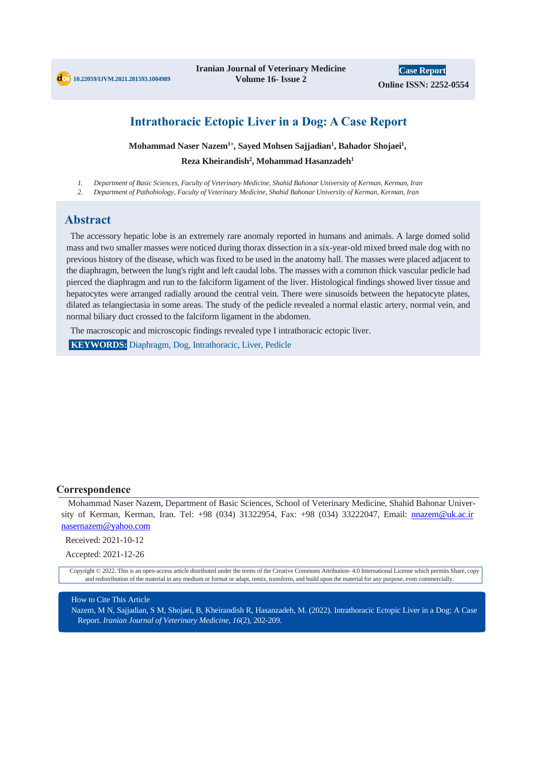

**Iranian Journal of Veterinary Medicine Volume 16- Issue 2**

**Case Report Online ISSN: 2252-0554**

# **Intrathoracic Ectopic Liver in a Dog: A Case Report**

**Mohammad Naser Nazem<sup>1</sup> \* , Sayed Mohsen Sajjadian<sup>1</sup> , Bahador Shojaei<sup>1</sup> , Reza Kheirandish<sup>2</sup> , Mohammad Hasanzadeh<sup>1</sup>**

*1. Department of Basic Sciences, Faculty of Veterinary Medicine, Shahid Bahonar University of Kerman, Kerman, Iran*

*2. Department of Pathobiology, Faculty of Veterinary Medicine, Shahid Bahonar University of Kerman, Kerman, Iran*

## **Abstract**

The accessory hepatic lobe is an extremely rare anomaly reported in humans and animals. A large domed solid mass and two smaller masses were noticed during thorax dissection in a six-year-old mixed breed male dog with no previous history of the disease, which was fixed to be used in the anatomy hall. The masses were placed adjacent to the diaphragm, between the lung's right and left caudal lobs. The masses with a common thick vascular pedicle had pierced the diaphragm and run to the falciform ligament of the liver. Histological findings showed liver tissue and hepatocytes were arranged radially around the central vein. There were sinusoids between the hepatocyte plates, dilated as telangiectasia in some areas. The study of the pedicle revealed a normal elastic artery, normal vein, and normal biliary duct crossed to the falciform ligament in the abdomen.

The macroscopic and microscopic findings revealed type I intrathoracic ectopic liver.

**KEYWORDS:** Diaphragm, Dog, Intrathoracic, Liver, Pedicle

### **Correspondence**

Mohammad Naser Nazem, Department of Basic Sciences, School of Veterinary Medicine, Shahid Bahonar University of Kerman, Kerman, Iran. Tel: +98 (034) 31322954, Fax: +98 (034) 33222047, Email: nnazem@uk.ac.ir nasernazem@yahoo.com

Received: 2021-10-12

Accepted: 2021-12-26

Copyright © 2022. This is an open-access article distributed under the terms of the Creative Commons Attribution- 4.0 International License which permits Share, copy and redistribution of the material in any medium or format or adapt, remix, transform, and build upon the material for any purpose, even commercially.

### How to Cite This Article

Nazem, M N, Sajjadian, S M, Shojaei, B, Kheirandish R, Hasanzadeh, M. (2022). Intrathoracic Ectopic Liver in a Dog: A Case Report. *Iranian Journal of Veterinary Medicine, 16*(2), 202-209.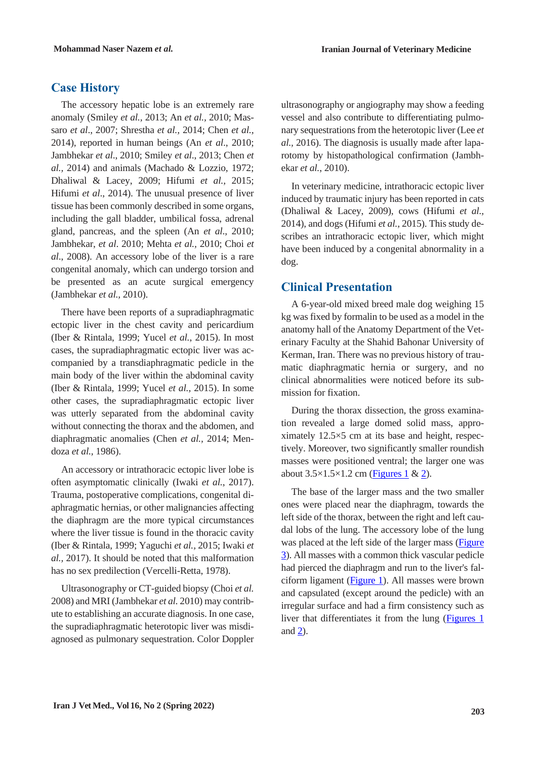# **Case History**

The accessory hepatic lobe is an extremely rare anomaly (Smiley *et al.,* 2013; An *et al.,* 2010; Massaro *et al*., 2007; Shrestha *et al.,* 2014; Chen *et al.,* 2014), reported in human beings (An *et al*., 2010; Jambhekar *et al*., 2010; Smiley *et al*., 2013; Chen *et al.,* 2014) and animals (Machado & Lozzio, 1972; Dhaliwal & Lacey, 2009; Hifumi *et al.,* 2015; Hifumi *et al*., 2014). The unusual presence of liver tissue has been commonly described in some organs, including the gall bladder, umbilical fossa, adrenal gland, pancreas, and the spleen (An *et al*., 2010; Jambhekar, *et al*. 2010; Mehta *et al.,* 2010; Choi *et al*., 2008). An accessory lobe of the liver is a rare congenital anomaly, which can undergo torsion and be presented as an acute surgical emergency (Jambhekar *et al.,* 2010).

There have been reports of a supradiaphragmatic ectopic liver in the chest cavity and pericardium (Iber & Rintala, 1999; Yucel *et al.*, 2015). In most cases, the supradiaphragmatic ectopic liver was accompanied by a transdiaphragmatic pedicle in the main body of the liver within the abdominal cavity (Iber & Rintala, 1999; Yucel *et al.,* 2015). In some other cases, the supradiaphragmatic ectopic liver was utterly separated from the abdominal cavity without connecting the thorax and the abdomen, and diaphragmatic anomalies (Chen *et al.,* 2014; Mendoza *et al.,* 1986).

An accessory or intrathoracic ectopic liver lobe is often asymptomatic clinically (Iwaki *et al.*, 2017). Trauma, postoperative complications, congenital diaphragmatic hernias, or other malignancies affecting the diaphragm are the more typical circumstances where the liver tissue is found in the thoracic cavity (Iber & Rintala, 1999; Yaguchi *et al.,* 2015; Iwaki *et al.,* 2017). It should be noted that this malformation has no sex predilection (Vercelli-Retta, 1978).

Ultrasonography or CT-guided biopsy (Choi *et al.* 2008) and MRI (Jambhekar *et al.* 2010) may contribute to establishing an accurate diagnosis. In one case, the supradiaphragmatic heterotopic liver was misdiagnosed as pulmonary sequestration. Color Doppler ultrasonography or angiography may show a feeding vessel and also contribute to differentiating pulmonary sequestrations from the heterotopic liver (Lee *et al.,* 2016). The diagnosis is usually made after laparotomy by histopathological confirmation (Jambhekar *et al.*, 2010).

In veterinary medicine, intrathoracic ectopic liver induced by traumatic injury has been reported in cats (Dhaliwal & Lacey, 2009), cows (Hifumi *et al.,* 2014), and dogs (Hifumi *et al.,* 2015). This study describes an intrathoracic ectopic liver, which might have been induced by a congenital abnormality in a dog.

## **Clinical Presentation**

A 6-year-old mixed breed male dog weighing 15 kg was fixed by formalin to be used as a model in the anatomy hall of the Anatomy Department of the Veterinary Faculty at the Shahid Bahonar University of Kerman, Iran. There was no previous history of traumatic diaphragmatic hernia or surgery, and no clinical abnormalities were noticed before its submission for fixation.

During the thorax dissection, the gross examination revealed a large domed solid mass, approximately 12.5×5 cm at its base and height, respectively. Moreover, two significantly smaller roundish masses were positioned ventral; the larger one was about  $3.5 \times 1.5 \times 1.2$  cm [\(Figures 1](#page-2-0) & [2\)](#page-2-1).

The base of the larger mass and the two smaller ones were placed near the diaphragm, towards the left side of the thorax, between the right and left caudal lobs of the lung. The accessory lobe of the lung was placed at the left side of the larger mass [\(Figure](#page-2-2)  [3\)](#page-2-2). All masses with a common thick vascular pedicle had pierced the diaphragm and run to the liver's falciform ligament [\(Figure 1\)](#page-2-0). All masses were brown and capsulated (except around the pedicle) with an irregular surface and had a firm consistency such as liver that differentiates it from the lung [\(Figures 1](#page-2-0) and [2\)](#page-2-1).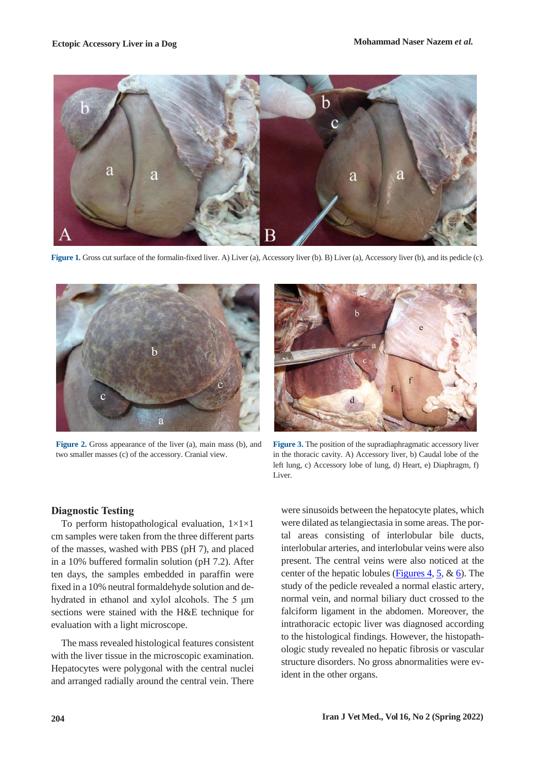

**Figure 1.** Gross cut surface of the formalin-fixed liver. A) Liver (a), Accessory liver (b). B) Liver (a), Accessory liver (b), and its pedicle (c).

<span id="page-2-0"></span>

**Figure 2.** Gross appearance of the liver (a), main mass (b), and two smaller masses (c) of the accessory. Cranial view.



**Figure 3.** The position of the supradiaphragmatic accessory liver in the thoracic cavity. A) Accessory liver, b) Caudal lobe of the left lung, c) Accessory lobe of lung, d) Heart, e) Diaphragm, f) Liver.

### <span id="page-2-1"></span>**Diagnostic Testing**

To perform histopathological evaluation, 1×1×1 cm samples were taken from the three different parts of the masses, washed with PBS (pH 7), and placed in a 10% buffered formalin solution (pH 7.2). After ten days, the samples embedded in paraffin were fixed in a 10% neutral formaldehyde solution and dehydrated in ethanol and xylol alcohols. The 5 μm sections were stained with the H&E technique for evaluation with a light microscope.

The mass revealed histological features consistent with the liver tissue in the microscopic examination. Hepatocytes were polygonal with the central nuclei and arranged radially around the central vein. There

<span id="page-2-2"></span>were sinusoids between the hepatocyte plates, which were dilated as telangiectasia in some areas. The portal areas consisting of interlobular bile ducts, interlobular arteries, and interlobular veins were also present. The central veins were also noticed at the center of the hepatic lobules [\(Figures 4,](#page-3-0) [5,](#page-3-1)  $\&$  [6\)](#page-3-2). The study of the pedicle revealed a normal elastic artery, normal vein, and normal biliary duct crossed to the falciform ligament in the abdomen. Moreover, the intrathoracic ectopic liver was diagnosed according to the histological findings. However, the histopathologic study revealed no hepatic fibrosis or vascular structure disorders. No gross abnormalities were evident in the other organs.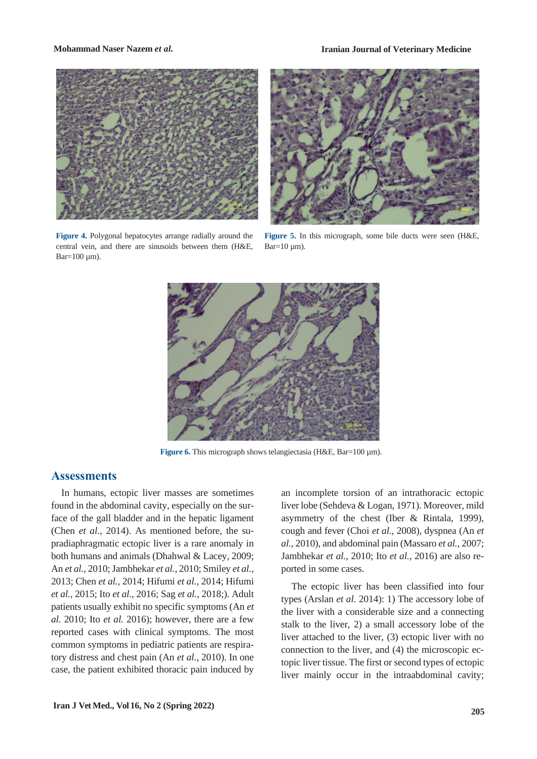**Mohammad Naser Nazem** *et al.* **Iranian Journal of Veterinary Medicine**



**Figure 4.** Polygonal hepatocytes arrange radially around the central vein, and there are sinusoids between them (H&E,  $Bar=100 \mu m$ ).



**Figure 5.** In this micrograph, some bile ducts were seen (H&E,  $Bar=10 \mu m$ ).

<span id="page-3-1"></span><span id="page-3-0"></span>

**Figure 6.** This micrograph shows telangiectasia (H&E, Bar=100 µm).

### <span id="page-3-2"></span>**Assessments**

In humans, ectopic liver masses are sometimes found in the abdominal cavity, especially on the surface of the gall bladder and in the hepatic ligament (Chen *et al.*, 2014). As mentioned before, the supradiaphragmatic ectopic liver is a rare anomaly in both humans and animals (Dhahwal & Lacey, 2009; An *et al.,* 2010; Jambhekar *et al.,* 2010; Smiley *et al.,* 2013; Chen *et al.,* 2014; Hifumi *et al.,* 2014; Hifumi *et al.,* 2015; Ito *et al.,* 2016; Sag *et al.,* 2018;). Adult patients usually exhibit no specific symptoms (An *et al.* 2010; Ito *et al.* 2016); however, there are a few reported cases with clinical symptoms. The most common symptoms in pediatric patients are respiratory distress and chest pain (An *et al.*, 2010). In one case, the patient exhibited thoracic pain induced by

an incomplete torsion of an intrathoracic ectopic liver lobe (Sehdeva & Logan, 1971). Moreover, mild asymmetry of the chest (Iber & Rintala, 1999), cough and fever (Choi *et al.,* 2008), dyspnea (An *et al.,* 2010), and abdominal pain (Massaro *et al.,* 2007; Jambhekar *et al.,* 2010; Ito *et al.,* 2016) are also reported in some cases.

The ectopic liver has been classified into four types (Arslan *et al.* 2014): 1) The accessory lobe of the liver with a considerable size and a connecting stalk to the liver, 2) a small accessory lobe of the liver attached to the liver, (3) ectopic liver with no connection to the liver, and (4) the microscopic ectopic liver tissue. The first or second types of ectopic liver mainly occur in the intraabdominal cavity;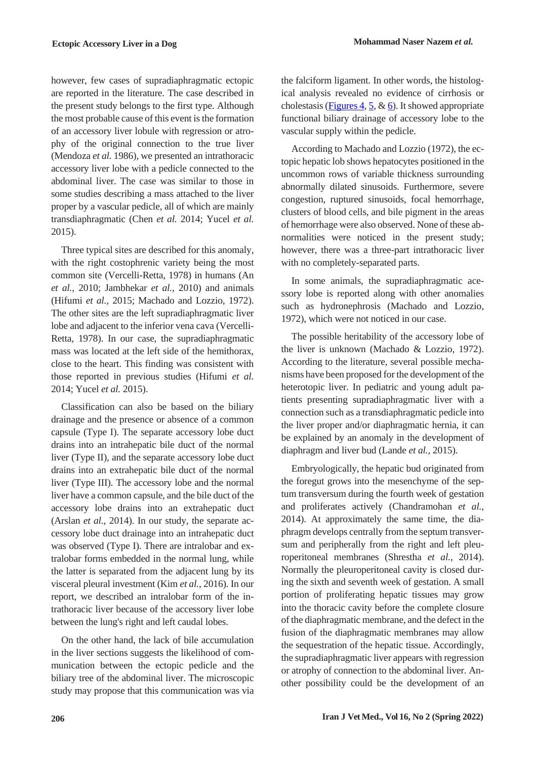however, few cases of supradiaphragmatic ectopic are reported in the literature. The case described in the present study belongs to the first type. Although the most probable cause of this event is the formation of an accessory liver lobule with regression or atrophy of the original connection to the true liver (Mendoza *et al.* 1986), we presented an intrathoracic accessory liver lobe with a pedicle connected to the abdominal liver. The case was similar to those in some studies describing a mass attached to the liver proper by a vascular pedicle, all of which are mainly transdiaphragmatic (Chen *et al.* 2014; Yucel *et al.* 2015).

Three typical sites are described for this anomaly, with the right costophrenic variety being the most common site (Vercelli-Retta, 1978) in humans (An *et al.,* 2010; Jambhekar *et al.,* 2010) and animals (Hifumi *et al.,* 2015; Machado and Lozzio, 1972). The other sites are the left supradiaphragmatic liver lobe and adjacent to the inferior vena cava (Vercelli-Retta, 1978). In our case, the supradiaphragmatic mass was located at the left side of the hemithorax, close to the heart. This finding was consistent with those reported in previous studies (Hifumi *et al.* 2014; Yucel *et al.* 2015).

Classification can also be based on the biliary drainage and the presence or absence of a common capsule (Type I). The separate accessory lobe duct drains into an intrahepatic bile duct of the normal liver (Type II), and the separate accessory lobe duct drains into an extrahepatic bile duct of the normal liver (Type III). The accessory lobe and the normal liver have a common capsule, and the bile duct of the accessory lobe drains into an extrahepatic duct (Arslan *et al.*, 2014). In our study, the separate accessory lobe duct drainage into an intrahepatic duct was observed (Type I). There are intralobar and extralobar forms embedded in the normal lung, while the latter is separated from the adjacent lung by its visceral pleural investment (Kim *et al.*, 2016). In our report, we described an intralobar form of the intrathoracic liver because of the accessory liver lobe between the lung's right and left caudal lobes.

On the other hand, the lack of bile accumulation in the liver sections suggests the likelihood of communication between the ectopic pedicle and the biliary tree of the abdominal liver. The microscopic study may propose that this communication was via the falciform ligament. In other words, the histological analysis revealed no evidence of cirrhosis or cholestasis [\(Figures 4,](#page-3-0) [5,](#page-3-1)  $\&$  [6\)](#page-3-2). It showed appropriate functional biliary drainage of accessory lobe to the vascular supply within the pedicle.

According to Machado and Lozzio (1972), the ectopic hepatic lob shows hepatocytes positioned in the uncommon rows of variable thickness surrounding abnormally dilated sinusoids. Furthermore, severe congestion, ruptured sinusoids, focal hemorrhage, clusters of blood cells, and bile pigment in the areas of hemorrhage were also observed. None of these abnormalities were noticed in the present study; however, there was a three-part intrathoracic liver with no completely-separated parts.

In some animals, the supradiaphragmatic acessory lobe is reported along with other anomalies such as hydronephrosis (Machado and Lozzio, 1972), which were not noticed in our case.

The possible heritability of the accessory lobe of the liver is unknown (Machado & Lozzio, 1972). According to the literature, several possible mechanisms have been proposed for the development of the heterotopic liver. In pediatric and young adult patients presenting supradiaphragmatic liver with a connection such as a transdiaphragmatic pedicle into the liver proper and/or diaphragmatic hernia, it can be explained by an anomaly in the development of diaphragm and liver bud (Lande *et al.,* 2015).

Embryologically, the hepatic bud originated from the foregut grows into the mesenchyme of the septum transversum during the fourth week of gestation and proliferates actively (Chandramohan *et al.,* 2014). At approximately the same time, the diaphragm develops centrally from the septum transversum and peripherally from the right and left pleuroperitoneal membranes (Shrestha *et al.*, 2014). Normally the pleuroperitoneal cavity is closed during the sixth and seventh week of gestation. A small portion of proliferating hepatic tissues may grow into the thoracic cavity before the complete closure of the diaphragmatic membrane, and the defect in the fusion of the diaphragmatic membranes may allow the sequestration of the hepatic tissue. Accordingly, the supradiaphragmatic liver appears with regression or atrophy of connection to the abdominal liver. Another possibility could be the development of an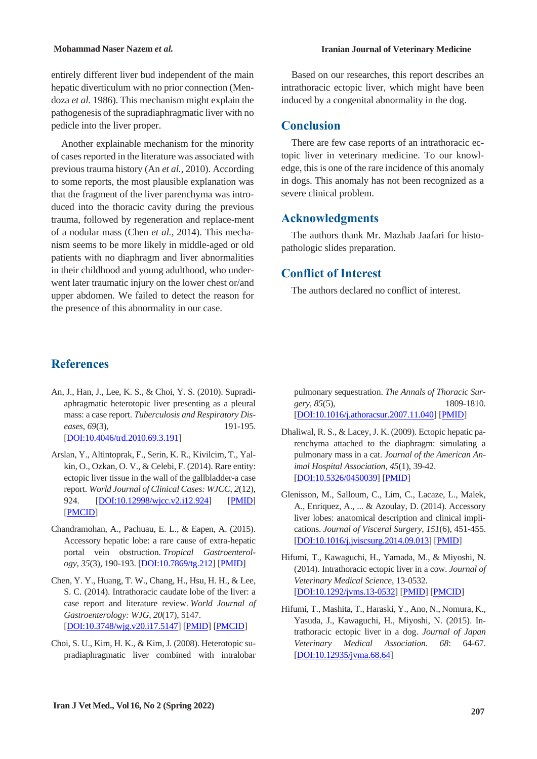entirely different liver bud independent of the main hepatic diverticulum with no prior connection (Mendoza *et al.* 1986). This mechanism might explain the pathogenesis of the supradiaphragmatic liver with no pedicle into the liver proper.

Another explainable mechanism for the minority of cases reported in the literature was associated with previous trauma history (An *et al.*, 2010). According to some reports, the most plausible explanation was that the fragment of the liver parenchyma was introduced into the thoracic cavity during the previous trauma, followed by regeneration and replace-ment of a nodular mass (Chen *et al.,* 2014). This mechanism seems to be more likely in middle-aged or old patients with no diaphragm and liver abnormalities in their childhood and young adulthood, who underwent later traumatic injury on the lower chest or/and upper abdomen. We failed to detect the reason for the presence of this abnormality in our case.

### **Mohammad Naser Nazem** *et al.* **Iranian Journal of Veterinary Medicine**

Based on our researches, this report describes an intrathoracic ectopic liver, which might have been induced by a congenital abnormality in the dog.

### **Conclusion**

There are few case reports of an intrathoracic ectopic liver in veterinary medicine. To our knowledge, this is one of the rare incidence of this anomaly in dogs. This anomaly has not been recognized as a severe clinical problem.

## **Acknowledgments**

The authors thank Mr. Mazhab Jaafari for histopathologic slides preparation.

## **Conflict of Interest**

The authors declared no conflict of interest.

## **References**

- An, J., Han, J., Lee, K. S., & Choi, Y. S. (2010). Supradiaphragmatic heterotopic liver presenting as a pleural mass: a case report. *Tuberculosis and Respiratory Diseases*, *69*(3), 191-195. [DOI:10.4046/trd.2010.69.3.191]
- Arslan, Y., Altintoprak, F., Serin, K. R., Kivilcim, T., Yalkin, O., Ozkan, O. V., & Celebi, F. (2014). Rare entity: ectopic liver tissue in the wall of the gallbladder-a case report. *World Journal of Clinical Cases: WJCC*, *2*(12), 924. [DOI:10.12998/wjcc.v2.i12.924] [PMID] [PMCID]
- Chandramohan, A., Pachuau, E. L., & Eapen, A. (2015). Accessory hepatic lobe: a rare cause of extra-hepatic portal vein obstruction. *Tropical Gastroenterology*, *35*(3), 190-193. [DOI:10.7869/tg.212] [PMID]
- Chen, Y. Y., Huang, T. W., Chang, H., Hsu, H. H., & Lee, S. C. (2014). Intrathoracic caudate lobe of the liver: a case report and literature review. *World Journal of Gastroenterology: WJG*, *20*(17), 5147. [DOI:10.3748/wjg.v20.i17.5147] [PMID] [PMCID]
- Choi, S. U., Kim, H. K., & Kim, J. (2008). Heterotopic supradiaphragmatic liver combined with intralobar

pulmonary sequestration. *The Annals of Thoracic Surgery*, *85*(5), 1809-1810. [DOI:10.1016/j.athoracsur.2007.11.040] [PMID]

- Dhaliwal, R. S., & Lacey, J. K. (2009). Ectopic hepatic parenchyma attached to the diaphragm: simulating a pulmonary mass in a cat. *Journal of the American Animal Hospital Association*, *45*(1), 39-42. [DOI:10.5326/0450039] [PMID]
- Glenisson, M., Salloum, C., Lim, C., Lacaze, L., Malek, A., Enriquez, A., ... & Azoulay, D. (2014). Accessory liver lobes: anatomical description and clinical implications. *Journal of Visceral Surgery*, *151*(6), 451-455. [DOI:10.1016/j.jviscsurg.2014.09.013] [PMID]
- Hifumi, T., Kawaguchi, H., Yamada, M., & Miyoshi, N. (2014). Intrathoracic ectopic liver in a cow. *Journal of Veterinary Medical Science*, 13-0532. [DOI:10.1292/jvms.13-0532] [PMID] [PMCID]
- Hifumi, T., Mashita, T., Haraski, Y., Ano, N., Nomura, K., Yasuda, J., Kawaguchi, H., Miyoshi, N. (2015). Intrathoracic ectopic liver in a dog. *Journal of Japan Veterinary Medical Association. 68*: 64-67. [DOI:10.12935/jvma.68.64]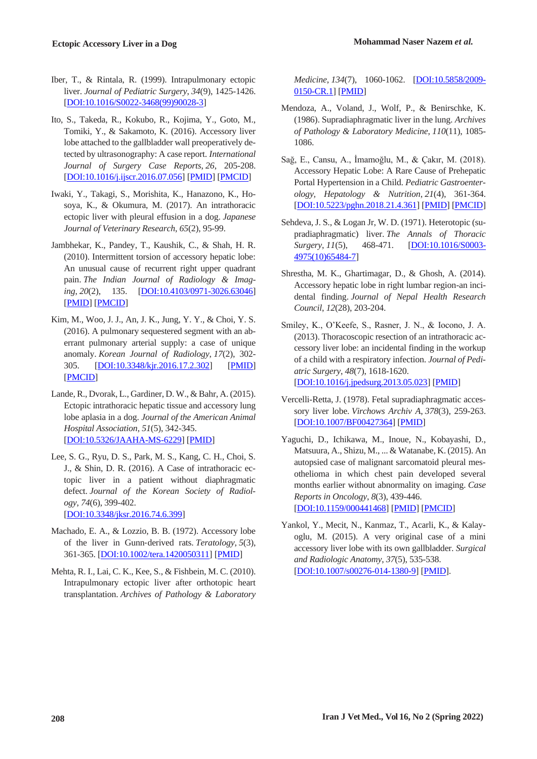- Iber, T., & Rintala, R. (1999). Intrapulmonary ectopic liver. *Journal of Pediatric Surgery*, *34*(9), 1425-1426. [DOI:10.1016/S0022-3468(99)90028-3]
- Ito, S., Takeda, R., Kokubo, R., Kojima, Y., Goto, M., Tomiki, Y., & Sakamoto, K. (2016). Accessory liver lobe attached to the gallbladder wall preoperatively detected by ultrasonography: A case report. *International Journal of Surgery Case Reports*, *26*, 205-208. [DOI:10.1016/j.ijscr.2016.07.056] [PMID] [PMCID]
- Iwaki, Y., Takagi, S., Morishita, K., Hanazono, K., Hosoya, K., & Okumura, M. (2017). An intrathoracic ectopic liver with pleural effusion in a dog. *Japanese Journal of Veterinary Research*, *65*(2), 95-99.
- Jambhekar, K., Pandey, T., Kaushik, C., & Shah, H. R. (2010). Intermittent torsion of accessory hepatic lobe: An unusual cause of recurrent right upper quadrant pain. *The Indian Journal of Radiology & Imaging*, *20*(2), 135. [DOI:10.4103/0971-3026.63046] [PMID] [PMCID]
- Kim, M., Woo, J. J., An, J. K., Jung, Y. Y., & Choi, Y. S. (2016). A pulmonary sequestered segment with an aberrant pulmonary arterial supply: a case of unique anomaly. *Korean Journal of Radiology*, *17*(2), 302- 305. [DOI:10.3348/kjr.2016.17.2.302] [PMID] [PMCID]
- Lande, R., Dvorak, L., Gardiner, D. W., & Bahr, A. (2015). Ectopic intrathoracic hepatic tissue and accessory lung lobe aplasia in a dog. *Journal of the American Animal Hospital Association*, *51*(5), 342-345. [DOI:10.5326/JAAHA-MS-6229] [PMID]
- Lee, S. G., Ryu, D. S., Park, M. S., Kang, C. H., Choi, S. J., & Shin, D. R. (2016). A Case of intrathoracic ectopic liver in a patient without diaphragmatic defect. *Journal of the Korean Society of Radiology*, *74*(6), 399-402. [DOI:10.3348/jksr.2016.74.6.399]
- Machado, E. A., & Lozzio, B. B. (1972). Accessory lobe of the liver in Gunn‐derived rats. *Teratology*, *5*(3), 361-365. [DOI:10.1002/tera.1420050311] [PMID]
- Mehta, R. I., Lai, C. K., Kee, S., & Fishbein, M. C. (2010). Intrapulmonary ectopic liver after orthotopic heart transplantation. *Archives of Pathology & Laboratory*

*Medicine*, *134*(7), 1060-1062. [DOI:10.5858/2009- 0150-CR.1] [PMID]

- Mendoza, A., Voland, J., Wolf, P., & Benirschke, K. (1986). Supradiaphragmatic liver in the lung. *Archives of Pathology & Laboratory Medicine*, *110*(11), 1085- 1086.
- Sağ, E., Cansu, A., İmamoğlu, M., & Çakır, M. (2018). Accessory Hepatic Lobe: A Rare Cause of Prehepatic Portal Hypertension in a Child. *Pediatric Gastroenterology, Hepatology & Nutrition*, *21*(4), 361-364. [DOI:10.5223/pghn.2018.21.4.361] [PMID] [PMCID]
- Sehdeva, J. S., & Logan Jr, W. D. (1971). Heterotopic (supradiaphragmatic) liver. *The Annals of Thoracic Surgery*, *11*(5), 468-471. [DOI:10.1016/S0003- 4975(10)65484-7]
- Shrestha, M. K., Ghartimagar, D., & Ghosh, A. (2014). Accessory hepatic lobe in right lumbar region-an incidental finding. *Journal of Nepal Health Research Council*, *12*(28), 203-204.
- Smiley, K., O'Keefe, S., Rasner, J. N., & Iocono, J. A. (2013). Thoracoscopic resection of an intrathoracic accessory liver lobe: an incidental finding in the workup of a child with a respiratory infection. *Journal of Pediatric Surgery*, *48*(7), 1618-1620. [DOI:10.1016/j.jpedsurg.2013.05.023] [PMID]
- Vercelli-Retta, J. (1978). Fetal supradiaphragmatic accessory liver lobe. *Virchows Archiv A*, *378*(3), 259-263. [DOI:10.1007/BF00427364] [PMID]
- Yaguchi, D., Ichikawa, M., Inoue, N., Kobayashi, D., Matsuura, A., Shizu, M., ... & Watanabe, K. (2015). An autopsied case of malignant sarcomatoid pleural mesothelioma in which chest pain developed several months earlier without abnormality on imaging. *Case Reports in Oncology*, *8*(3), 439-446. [DOI:10.1159/000441468] [PMID] [PMCID]
- Yankol, Y., Mecit, N., Kanmaz, T., Acarli, K., & Kalayoglu, M. (2015). A very original case of a mini accessory liver lobe with its own gallbladder. *Surgical and Radiologic Anatomy*, *37*(5), 535-538. [DOI:10.1007/s00276-014-1380-9] [PMID].